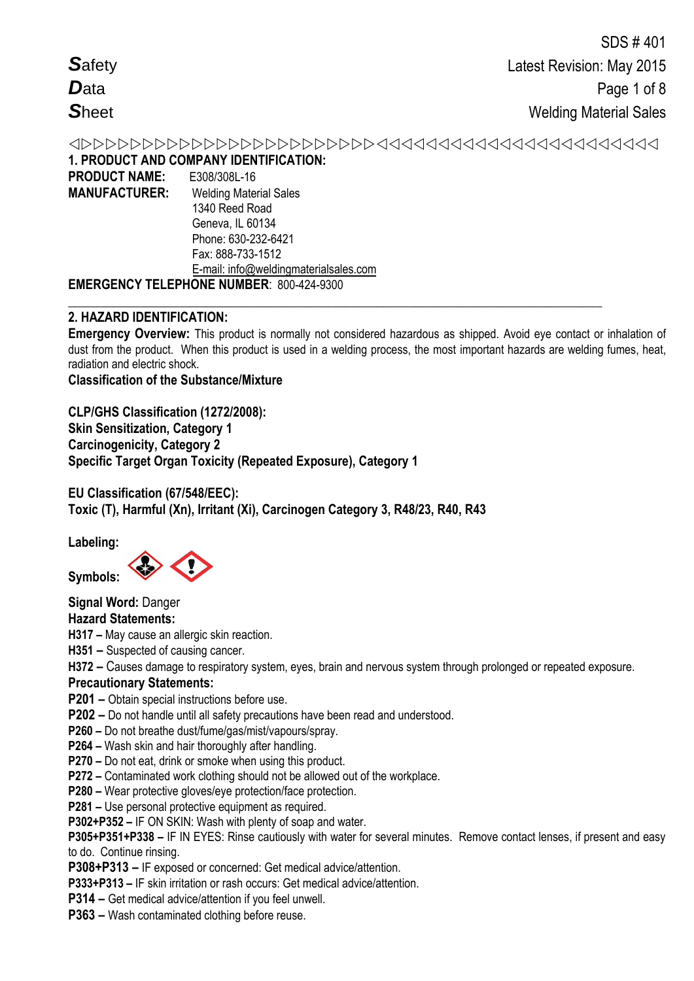|                      | 1. PRODUCT AND COMPANY IDENTIFICATION:          |
|----------------------|-------------------------------------------------|
| <b>PRODUCT NAME:</b> | E308/308L-16                                    |
| <b>MANUFACTURER:</b> | <b>Welding Material Sales</b>                   |
|                      | 1340 Reed Road                                  |
|                      | Geneva, IL 60134                                |
|                      | Phone: 630-232-6421                             |
|                      | Fax: 888-733-1512                               |
|                      | E-mail: info@weldingmaterialsales.com           |
|                      | <b>EMERGENCY TELEPHONE NUMBER: 800-424-9300</b> |

## **2. HAZARD IDENTIFICATION:**

**Emergency Overview:** This product is normally not considered hazardous as shipped. Avoid eye contact or inhalation of dust from the product. When this product is used in a welding process, the most important hazards are welding fumes, heat, radiation and electric shock.

**\_\_\_\_\_\_\_\_\_\_\_\_\_\_\_\_\_\_\_\_\_\_\_\_\_\_\_\_\_\_\_\_\_\_\_\_\_\_\_\_\_\_\_\_\_\_\_\_\_\_\_\_\_\_\_\_\_\_\_\_\_\_\_\_\_\_\_\_\_\_\_\_\_\_\_\_\_\_\_\_\_\_\_**

**Classification of the Substance/Mixture**

**CLP/GHS Classification (1272/2008): Skin Sensitization, Category 1 Carcinogenicity, Category 2 Specific Target Organ Toxicity (Repeated Exposure), Category 1** 

**EU Classification (67/548/EEC): Toxic (T), Harmful (Xn), Irritant (Xi), Carcinogen Category 3, R48/23, R40, R43** 

**Labeling:** 

**Symbols:** 

**Signal Word:** Danger

# **Hazard Statements:**

**H317 –** May cause an allergic skin reaction.

# **H351 –** Suspected of causing cancer.

**H372 –** Causes damage to respiratory system, eyes, brain and nervous system through prolonged or repeated exposure.

## **Precautionary Statements:**

- **P201 –** Obtain special instructions before use.
- **P202 –** Do not handle until all safety precautions have been read and understood.
- **P260 –** Do not breathe dust/fume/gas/mist/vapours/spray.
- **P264 –** Wash skin and hair thoroughly after handling.
- **P270 –** Do not eat, drink or smoke when using this product.
- **P272 –** Contaminated work clothing should not be allowed out of the workplace.
- **P280 –** Wear protective gloves/eye protection/face protection.
- **P281 –** Use personal protective equipment as required.

**P302+P352 –** IF ON SKIN: Wash with plenty of soap and water.

**P305+P351+P338 –** IF IN EYES: Rinse cautiously with water for several minutes. Remove contact lenses, if present and easy to do. Continue rinsing.

**P308+P313 –** IF exposed or concerned: Get medical advice/attention.

**P333+P313 –** IF skin irritation or rash occurs: Get medical advice/attention.

- **P314 –** Get medical advice/attention if you feel unwell.
- **P363 –** Wash contaminated clothing before reuse.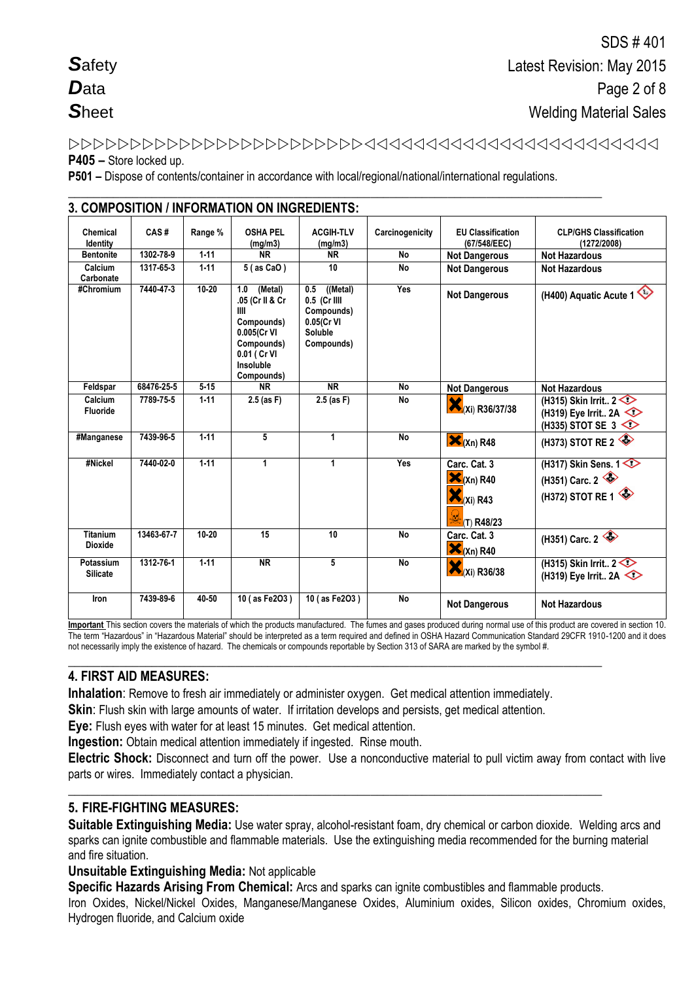## P405 - Store locked up.

P501 - Dispose of contents/container in accordance with local/regional/national/international regulations.

| Chemical<br>Identity              | CAS#       | Range %   | <b>OSHA PEL</b><br>(mg/m3)                                                                                                     | <b>ACGIH-TLV</b><br>(mg/m3)                                                          | Carcinogenicity | <b>EU Classification</b><br>(67/548/EEC)                               | <b>CLP/GHS Classification</b><br>(1272/2008)                          |
|-----------------------------------|------------|-----------|--------------------------------------------------------------------------------------------------------------------------------|--------------------------------------------------------------------------------------|-----------------|------------------------------------------------------------------------|-----------------------------------------------------------------------|
| <b>Bentonite</b>                  | 1302-78-9  | $1 - 11$  | <b>NR</b>                                                                                                                      | <b>NR</b>                                                                            | <b>No</b>       | <b>Not Dangerous</b>                                                   | <b>Not Hazardous</b>                                                  |
| Calcium<br>Carbonate              | 1317-65-3  | $1 - 11$  | 5 (as CaO)                                                                                                                     | 10                                                                                   | <b>No</b>       | <b>Not Dangerous</b>                                                   | <b>Not Hazardous</b>                                                  |
| #Chromium                         | 7440-47-3  | $10 - 20$ | (Metal)<br>1.0<br>.05 (Cr II & Cr<br>III<br>Compounds)<br>0.005(Cr VI<br>Compounds)<br>0.01 ( Cr VI<br>Insoluble<br>Compounds) | ((Metal)<br>0.5<br>0.5 (Cr IIII<br>Compounds)<br>0.05(Cr VI<br>Soluble<br>Compounds) | Yes             | <b>Not Dangerous</b>                                                   | (H400) Aquatic Acute 1                                                |
| Feldspar                          | 68476-25-5 | $5 - 15$  | <b>NR</b>                                                                                                                      | <b>NR</b>                                                                            | No              | <b>Not Dangerous</b>                                                   | <b>Not Hazardous</b>                                                  |
| Calcium<br>Fluoride               | 7789-75-5  | $1 - 11$  | $2.5$ (as F)                                                                                                                   | $2.5$ (as F)                                                                         | No              | (Xi) R36/37/38                                                         | (H315) Skin Irrit $2 \leq$<br>(H319) Eye Irrit 2A<br>(H335) STOT SE 3 |
| #Manganese                        | 7439-96-5  | $1-11$    | 5                                                                                                                              | 1                                                                                    | <b>No</b>       | $\mathbf{X}_{(Xn)R48}$                                                 | (H373) STOT RE 2                                                      |
| #Nickel                           | 7440-02-0  | $1 - 11$  | 1                                                                                                                              | 1                                                                                    | Yes             | Carc. Cat. 3<br>$\mathbf{X}_{(Xn)R40}$<br>$X_i$ (Xi) R43<br>(T) R48/23 | (H317) Skin Sens. 1<br>(H351) Carc. $2 \leqslant$<br>(H372) STOT RE 1 |
| <b>Titanium</b><br><b>Dioxide</b> | 13463-67-7 | $10 - 20$ | 15                                                                                                                             | 10                                                                                   | <b>No</b>       | Carc. Cat. 3<br>$\mathbf{X}_{(Xn) R40}$                                | (H351) Carc. 2                                                        |
| Potassium<br><b>Silicate</b>      | 1312-76-1  | $1 - 11$  | $\overline{\text{NR}}$                                                                                                         | 5                                                                                    | No              | $\mathbf{X}$ <sub>(Xi)</sub> R36/38                                    | (H315) Skin Irrit $2 \leq$<br>(H319) Eye Irrit 2A                     |
| Iron                              | 7439-89-6  | 40-50     | 10 (as Fe2O3)                                                                                                                  | 10 (as Fe2O3)                                                                        | No              | <b>Not Dangerous</b>                                                   | <b>Not Hazardous</b>                                                  |

2 COMPOSITION / INFORMATION ON INCREDIENTS.

Important This section covers the materials of which the products manufactured. The fumes and gases produced during normal use of this product are covered in section 10. The term "Hazardous" in "Hazardous Material" should be interpreted as a term required and defined in OSHA Hazard Communication Standard 29CFR 1910-1200 and it does not necessarily imply the existence of hazard. The chemicals or compounds reportable by Section 313 of SARA are marked by the symbol #.

## **4. FIRST AID MEASURES:**

Inhalation: Remove to fresh air immediately or administer oxygen. Get medical attention immediately.

Skin: Flush skin with large amounts of water. If irritation develops and persists, get medical attention.

Eye: Flush eyes with water for at least 15 minutes. Get medical attention.

Ingestion: Obtain medical attention immediately if ingested. Rinse mouth.

Electric Shock: Disconnect and turn off the power. Use a nonconductive material to pull victim away from contact with live parts or wires. Immediately contact a physician.

## **5. FIRE-FIGHTING MEASURES:**

Suitable Extinguishing Media: Use water spray, alcohol-resistant foam, dry chemical or carbon dioxide. Welding arcs and sparks can ignite combustible and flammable materials. Use the extinguishing media recommended for the burning material and fire situation.

**Unsuitable Extinguishing Media: Not applicable** 

Specific Hazards Arising From Chemical: Arcs and sparks can ignite combustibles and flammable products.

Iron Oxides, Nickel/Nickel Oxides, Manganese/Manganese Oxides, Aluminium oxides, Silicon oxides, Chromium oxides, Hydrogen fluoride, and Calcium oxide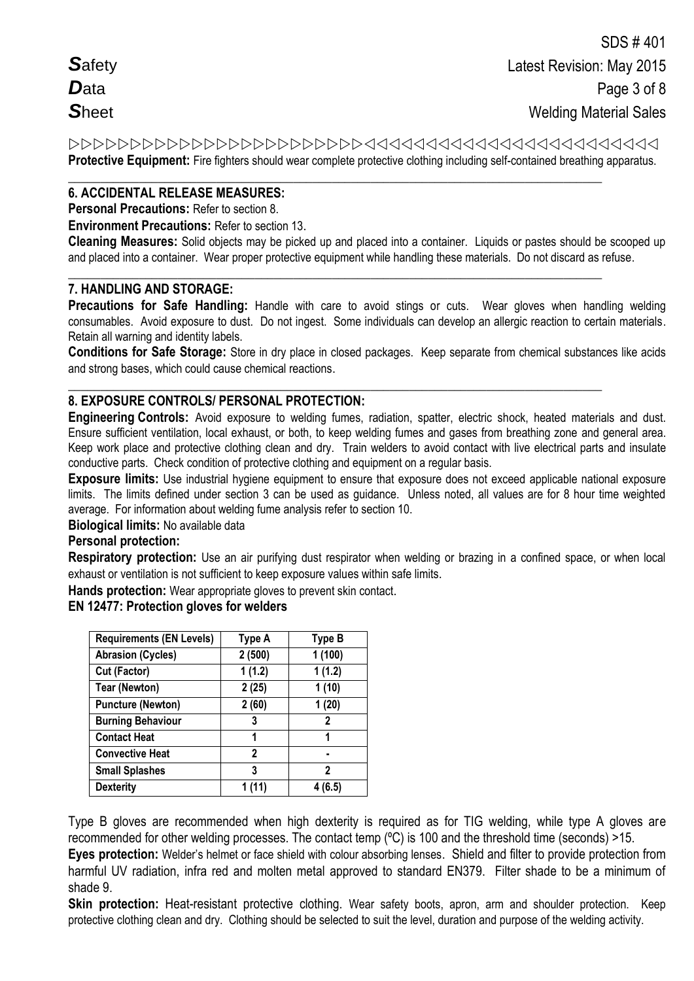**Protective Equipment:** Fire fighters should wear complete protective clothing including self-contained breathing apparatus.

#### **\_\_\_\_\_\_\_\_\_\_\_\_\_\_\_\_\_\_\_\_\_\_\_\_\_\_\_\_\_\_\_\_\_\_\_\_\_\_\_\_\_\_\_\_\_\_\_\_\_\_\_\_\_\_\_\_\_\_\_\_\_\_\_\_\_\_\_\_\_\_\_\_\_\_\_\_\_\_\_\_\_\_\_ 6. ACCIDENTAL RELEASE MEASURES:**

**Personal Precautions:** Refer to section 8.

**Environment Precautions:** Refer to section 13.

**Cleaning Measures:** Solid objects may be picked up and placed into a container. Liquids or pastes should be scooped up and placed into a container. Wear proper protective equipment while handling these materials. Do not discard as refuse.

**\_\_\_\_\_\_\_\_\_\_\_\_\_\_\_\_\_\_\_\_\_\_\_\_\_\_\_\_\_\_\_\_\_\_\_\_\_\_\_\_\_\_\_\_\_\_\_\_\_\_\_\_\_\_\_\_\_\_\_\_\_\_\_\_\_\_\_\_\_\_\_\_\_\_\_\_\_\_\_\_\_\_\_**

### **7. HANDLING AND STORAGE:**

**Precautions for Safe Handling:** Handle with care to avoid stings or cuts. Wear gloves when handling welding consumables. Avoid exposure to dust. Do not ingest. Some individuals can develop an allergic reaction to certain materials. Retain all warning and identity labels.

**Conditions for Safe Storage:** Store in dry place in closed packages. Keep separate from chemical substances like acids and strong bases, which could cause chemical reactions.

#### **\_\_\_\_\_\_\_\_\_\_\_\_\_\_\_\_\_\_\_\_\_\_\_\_\_\_\_\_\_\_\_\_\_\_\_\_\_\_\_\_\_\_\_\_\_\_\_\_\_\_\_\_\_\_\_\_\_\_\_\_\_\_\_\_\_\_\_\_\_\_\_\_\_\_\_\_\_\_\_\_\_\_\_ 8. EXPOSURE CONTROLS/ PERSONAL PROTECTION:**

**Engineering Controls:** Avoid exposure to welding fumes, radiation, spatter, electric shock, heated materials and dust. Ensure sufficient ventilation, local exhaust, or both, to keep welding fumes and gases from breathing zone and general area. Keep work place and protective clothing clean and dry. Train welders to avoid contact with live electrical parts and insulate conductive parts. Check condition of protective clothing and equipment on a regular basis.

**Exposure limits:** Use industrial hygiene equipment to ensure that exposure does not exceed applicable national exposure limits. The limits defined under section 3 can be used as guidance. Unless noted, all values are for 8 hour time weighted average. For information about welding fume analysis refer to section 10.

**Biological limits:** No available data

## **Personal protection:**

**Respiratory protection:** Use an air purifying dust respirator when welding or brazing in a confined space, or when local exhaust or ventilation is not sufficient to keep exposure values within safe limits.

**Hands protection:** Wear appropriate gloves to prevent skin contact.

#### **EN 12477: Protection gloves for welders**

| <b>Requirements (EN Levels)</b> | Type A       | Type B  |
|---------------------------------|--------------|---------|
| <b>Abrasion (Cycles)</b>        | 2(500)       | 1(100)  |
| Cut (Factor)                    | 1(1.2)       | 1(1.2)  |
| <b>Tear (Newton)</b>            | 2(25)        | 1(10)   |
| <b>Puncture (Newton)</b>        | 2(60)        | 1(20)   |
| <b>Burning Behaviour</b>        | 3            | 2       |
| <b>Contact Heat</b>             | 1            | 1       |
| <b>Convective Heat</b>          | $\mathbf{2}$ |         |
| <b>Small Splashes</b>           | 3            | 2       |
| <b>Dexterity</b>                | 1 (11)       | 4 (6.5) |

Type B gloves are recommended when high dexterity is required as for TIG welding, while type A gloves are recommended for other welding processes. The contact temp (ºC) is 100 and the threshold time (seconds) >15.

**Eyes protection:** Welder's helmet or face shield with colour absorbing lenses. Shield and filter to provide protection from harmful UV radiation, infra red and molten metal approved to standard EN379. Filter shade to be a minimum of shade 9.

**Skin protection:** Heat-resistant protective clothing. Wear safety boots, apron, arm and shoulder protection. Keep protective clothing clean and dry. Clothing should be selected to suit the level, duration and purpose of the welding activity.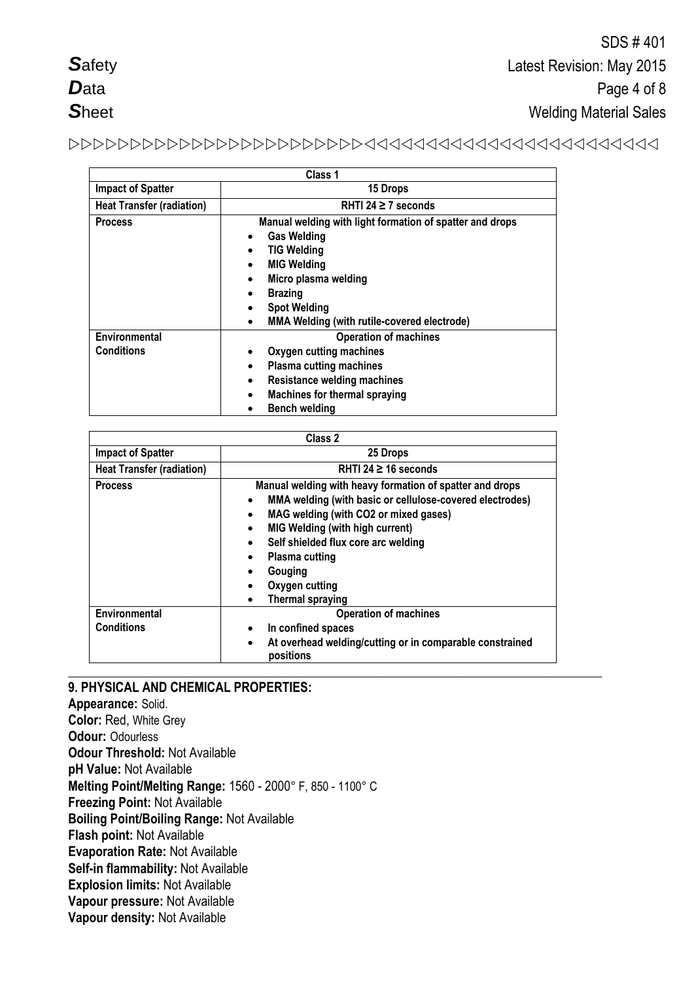# 

|                                    | Class 1                                                                                                                                                                                                                                                                                                    |
|------------------------------------|------------------------------------------------------------------------------------------------------------------------------------------------------------------------------------------------------------------------------------------------------------------------------------------------------------|
| <b>Impact of Spatter</b>           | 15 Drops                                                                                                                                                                                                                                                                                                   |
| <b>Heat Transfer (radiation)</b>   | RHTI 24 $\geq$ 7 seconds                                                                                                                                                                                                                                                                                   |
| <b>Process</b>                     | Manual welding with light formation of spatter and drops<br><b>Gas Welding</b><br>$\bullet$<br><b>TIG Welding</b><br>$\bullet$<br><b>MIG Welding</b><br>Micro plasma welding<br>$\bullet$<br><b>Brazing</b><br>٠<br><b>Spot Welding</b><br><b>MMA Welding (with rutile-covered electrode)</b><br>$\bullet$ |
| Environmental<br><b>Conditions</b> | <b>Operation of machines</b><br>Oxygen cutting machines<br>٠<br><b>Plasma cutting machines</b><br>$\bullet$<br><b>Resistance welding machines</b><br>$\bullet$<br><b>Machines for thermal spraying</b><br>$\bullet$<br><b>Bench welding</b>                                                                |

|                                  | Class 2                                                                                                                                                                                                                                                                                                                                            |
|----------------------------------|----------------------------------------------------------------------------------------------------------------------------------------------------------------------------------------------------------------------------------------------------------------------------------------------------------------------------------------------------|
| <b>Impact of Spatter</b>         | 25 Drops                                                                                                                                                                                                                                                                                                                                           |
| <b>Heat Transfer (radiation)</b> | RHTI 24 $\geq$ 16 seconds                                                                                                                                                                                                                                                                                                                          |
| <b>Process</b>                   | Manual welding with heavy formation of spatter and drops<br>MMA welding (with basic or cellulose-covered electrodes)<br>$\bullet$<br>MAG welding (with CO2 or mixed gases)<br><b>MIG Welding (with high current)</b><br>$\bullet$<br>Self shielded flux core arc welding<br>Plasma cutting<br>Gouging<br>Oxygen cutting<br><b>Thermal spraying</b> |
| Environmental                    | <b>Operation of machines</b>                                                                                                                                                                                                                                                                                                                       |
| <b>Conditions</b>                | In confined spaces                                                                                                                                                                                                                                                                                                                                 |
|                                  | At overhead welding/cutting or in comparable constrained<br>$\bullet$<br>positions                                                                                                                                                                                                                                                                 |

### **\_\_\_\_\_\_\_\_\_\_\_\_\_\_\_\_\_\_\_\_\_\_\_\_\_\_\_\_\_\_\_\_\_\_\_\_\_\_\_\_\_\_\_\_\_\_\_\_\_\_\_\_\_\_\_\_\_\_\_\_\_\_\_\_\_\_\_\_\_\_\_\_\_\_\_\_\_\_\_\_\_\_\_ 9. PHYSICAL AND CHEMICAL PROPERTIES:**

**Appearance:** Solid. **Color:** Red, White Grey **Odour:** Odourless **Odour Threshold:** Not Available **pH Value:** Not Available **Melting Point/Melting Range:** 1560 - 2000° F, 850 - 1100° C **Freezing Point:** Not Available **Boiling Point/Boiling Range:** Not Available **Flash point:** Not Available **Evaporation Rate:** Not Available **Self-in flammability:** Not Available **Explosion limits:** Not Available **Vapour pressure:** Not Available **Vapour density:** Not Available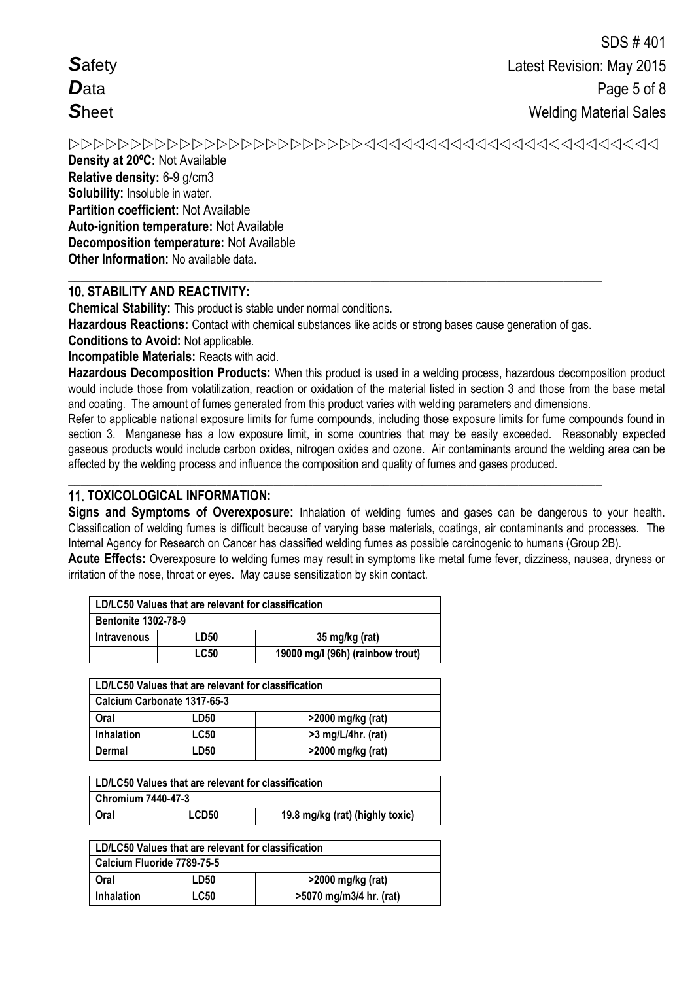Density at 20°C: Not Available Relative density: 6-9 g/cm3 Solubility: Insoluble in water. Partition coefficient: Not Available Auto-ignition temperature: Not Available **Decomposition temperature: Not Available** Other Information: No available data.

# **10. STABILITY AND REACTIVITY:**

**Chemical Stability:** This product is stable under normal conditions.

Hazardous Reactions: Contact with chemical substances like acids or strong bases cause generation of gas.

**Conditions to Avoid: Not applicable.** 

**Incompatible Materials: Reacts with acid.** 

Hazardous Decomposition Products: When this product is used in a welding process, hazardous decomposition product would include those from volatilization, reaction or oxidation of the material listed in section 3 and those from the base metal and coating. The amount of fumes generated from this product varies with welding parameters and dimensions.

Refer to applicable national exposure limits for fume compounds, including those exposure limits for fume compounds found in section 3. Manganese has a low exposure limit, in some countries that may be easily exceeded. Reasonably expected gaseous products would include carbon oxides, nitrogen oxides and ozone. Air contaminants around the welding area can be affected by the welding process and influence the composition and quality of fumes and gases produced.

## **11. TOXICOLOGICAL INFORMATION:**

Signs and Symptoms of Overexposure: Inhalation of welding fumes and gases can be dangerous to your health. Classification of welding fumes is difficult because of varying base materials, coatings, air contaminants and processes. The Internal Agency for Research on Cancer has classified welding fumes as possible carcinogenic to humans (Group 2B).

Acute Effects: Overexposure to welding fumes may result in symptoms like metal fume fever, dizziness, nausea, dryness or irritation of the nose, throat or eyes. May cause sensitization by skin contact.

| LD/LC50 Values that are relevant for classification |             |                                  |
|-----------------------------------------------------|-------------|----------------------------------|
| <b>Bentonite 1302-78-9</b>                          |             |                                  |
| <b>Intravenous</b>                                  | LD50        | 35 mg/kg (rat)                   |
|                                                     | <b>LC50</b> | 19000 mg/l (96h) (rainbow trout) |

| LD/LC50 Values that are relevant for classification |             |                      |
|-----------------------------------------------------|-------------|----------------------|
| Calcium Carbonate 1317-65-3                         |             |                      |
| Oral                                                | LD50        | >2000 mg/kg (rat)    |
| <b>Inhalation</b>                                   | <b>LC50</b> | $>3$ mg/L/4hr. (rat) |
| Dermal                                              | LD50        | >2000 mg/kg (rat)    |

| LD/LC50 Values that are relevant for classification |       |                                 |
|-----------------------------------------------------|-------|---------------------------------|
| <b>Chromium 7440-47-3</b>                           |       |                                 |
| Oral                                                | LCD50 | 19.8 mg/kg (rat) (highly toxic) |

| LD/LC50 Values that are relevant for classification |             |                         |
|-----------------------------------------------------|-------------|-------------------------|
| Calcium Fluoride 7789-75-5                          |             |                         |
| Oral                                                | LD50        | $>2000$ mg/kg (rat)     |
| <b>Inhalation</b>                                   | <b>LC50</b> | >5070 mg/m3/4 hr. (rat) |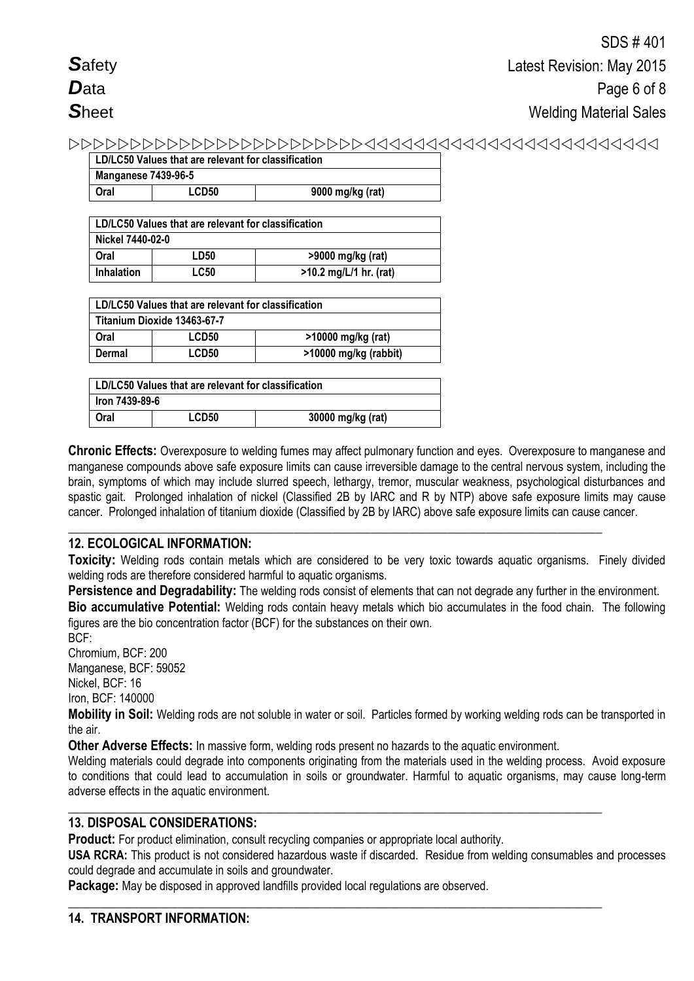| LD/LC50 Values that are relevant for classification |                   |                  |
|-----------------------------------------------------|-------------------|------------------|
| <b>Manganese 7439-96-5</b>                          |                   |                  |
| Oral                                                | LCD <sub>50</sub> | 9000 mg/kg (rat) |

| LD/LC50 Values that are relevant for classification |             |                          |
|-----------------------------------------------------|-------------|--------------------------|
| Nickel 7440-02-0                                    |             |                          |
| Oral                                                | LD50        | >9000 mg/kg (rat)        |
| <b>Inhalation</b>                                   | <b>LC50</b> | $>10.2$ mg/L/1 hr. (rat) |

| LD/LC50 Values that are relevant for classification |                             |                       |
|-----------------------------------------------------|-----------------------------|-----------------------|
|                                                     | Titanium Dioxide 13463-67-7 |                       |
| Oral                                                | LCD50                       | >10000 mg/kg (rat)    |
| Dermal                                              | LCD50                       | >10000 mg/kg (rabbit) |

| LD/LC50 Values that are relevant for classification |       |                   |
|-----------------------------------------------------|-------|-------------------|
| lron 7439-89-6                                      |       |                   |
| Oral                                                | LCD50 | 30000 mg/kg (rat) |

**Chronic Effects:** Overexposure to welding fumes may affect pulmonary function and eyes. Overexposure to manganese and manganese compounds above safe exposure limits can cause irreversible damage to the central nervous system, including the brain, symptoms of which may include slurred speech, lethargy, tremor, muscular weakness, psychological disturbances and spastic gait. Prolonged inhalation of nickel (Classified 2B by IARC and R by NTP) above safe exposure limits may cause cancer. Prolonged inhalation of titanium dioxide (Classified by 2B by IARC) above safe exposure limits can cause cancer.

## **\_\_\_\_\_\_\_\_\_\_\_\_\_\_\_\_\_\_\_\_\_\_\_\_\_\_\_\_\_\_\_\_\_\_\_\_\_\_\_\_\_\_\_\_\_\_\_\_\_\_\_\_\_\_\_\_\_\_\_\_\_\_\_\_\_\_\_\_\_\_\_\_\_\_\_\_\_\_\_\_\_\_\_ 12. ECOLOGICAL INFORMATION:**

**Toxicity:** Welding rods contain metals which are considered to be very toxic towards aquatic organisms. Finely divided welding rods are therefore considered harmful to aquatic organisms.

**Persistence and Degradability:** The welding rods consist of elements that can not degrade any further in the environment. **Bio accumulative Potential:** Welding rods contain heavy metals which bio accumulates in the food chain. The following figures are the bio concentration factor (BCF) for the substances on their own.

BCF: Chromium, BCF: 200

Manganese, BCF: 59052 Nickel, BCF: 16 Iron, BCF: 140000

**Mobility in Soil:** Welding rods are not soluble in water or soil. Particles formed by working welding rods can be transported in the air.

**Other Adverse Effects:** In massive form, welding rods present no hazards to the aquatic environment.

Welding materials could degrade into components originating from the materials used in the welding process. Avoid exposure to conditions that could lead to accumulation in soils or groundwater. Harmful to aquatic organisms, may cause long-term adverse effects in the aquatic environment.

## **\_\_\_\_\_\_\_\_\_\_\_\_\_\_\_\_\_\_\_\_\_\_\_\_\_\_\_\_\_\_\_\_\_\_\_\_\_\_\_\_\_\_\_\_\_\_\_\_\_\_\_\_\_\_\_\_\_\_\_\_\_\_\_\_\_\_\_\_\_\_\_\_\_\_\_\_\_\_\_\_\_\_\_ 13. DISPOSAL CONSIDERATIONS:**

**Product:** For product elimination, consult recycling companies or appropriate local authority.

**USA RCRA:** This product is not considered hazardous waste if discarded. Residue from welding consumables and processes could degrade and accumulate in soils and groundwater.

**Package:** May be disposed in approved landfills provided local regulations are observed.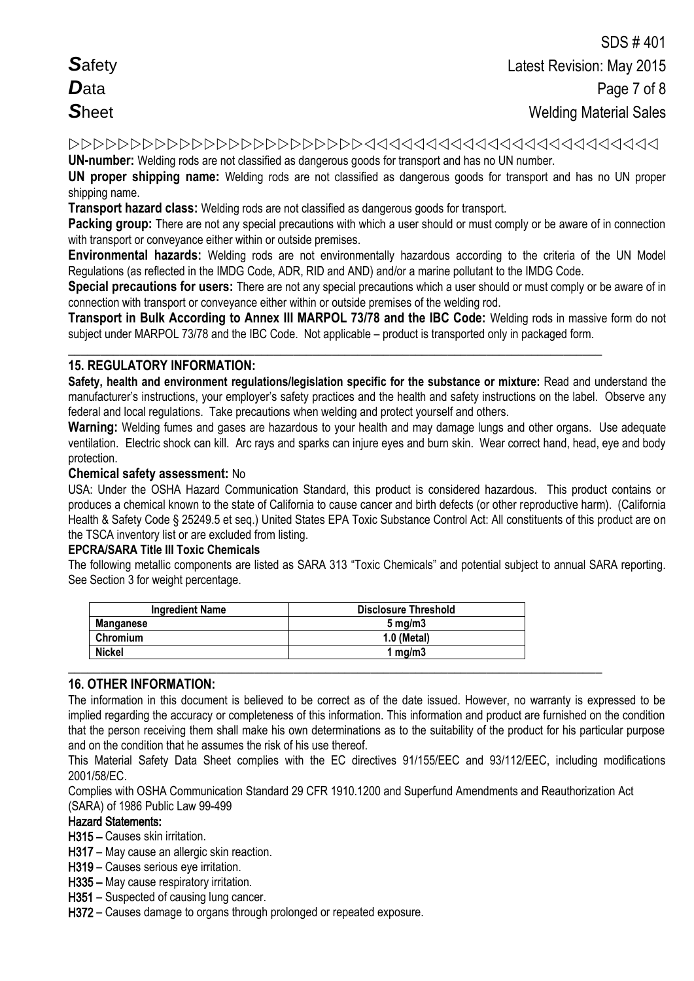**UN-number:** Welding rods are not classified as dangerous goods for transport and has no UN number.

**UN proper shipping name:** Welding rods are not classified as dangerous goods for transport and has no UN proper shipping name.

**Transport hazard class:** Welding rods are not classified as dangerous goods for transport.

**Packing group:** There are not any special precautions with which a user should or must comply or be aware of in connection with transport or conveyance either within or outside premises.

**Environmental hazards:** Welding rods are not environmentally hazardous according to the criteria of the UN Model Regulations (as reflected in the IMDG Code, ADR, RID and AND) and/or a marine pollutant to the IMDG Code.

**Special precautions for users:** There are not any special precautions which a user should or must comply or be aware of in connection with transport or conveyance either within or outside premises of the welding rod.

**Transport in Bulk According to Annex III MARPOL 73/78 and the IBC Code:** Welding rods in massive form do not subject under MARPOL 73/78 and the IBC Code. Not applicable – product is transported only in packaged form.

**\_\_\_\_\_\_\_\_\_\_\_\_\_\_\_\_\_\_\_\_\_\_\_\_\_\_\_\_\_\_\_\_\_\_\_\_\_\_\_\_\_\_\_\_\_\_\_\_\_\_\_\_\_\_\_\_\_\_\_\_\_\_\_\_\_\_\_\_\_\_\_\_\_\_\_\_\_\_\_\_\_\_\_**

## **15. REGULATORY INFORMATION:**

**Safety, health and environment regulations/legislation specific for the substance or mixture:** Read and understand the manufacturer's instructions, your employer's safety practices and the health and safety instructions on the label. Observe any federal and local regulations. Take precautions when welding and protect yourself and others.

**Warning:** Welding fumes and gases are hazardous to your health and may damage lungs and other organs. Use adequate ventilation.Electric shock can kill. Arc rays and sparks can injure eyes and burn skin. Wear correct hand, head, eye and body protection.

### **Chemical safety assessment:** No

USA: Under the OSHA Hazard Communication Standard, this product is considered hazardous. This product contains or produces a chemical known to the state of California to cause cancer and birth defects (or other reproductive harm). (California Health & Safety Code § 25249.5 et seq.) United States EPA Toxic Substance Control Act: All constituents of this product are on the TSCA inventory list or are excluded from listing.

### **EPCRA/SARA Title III Toxic Chemicals**

The following metallic components are listed as SARA 313 "Toxic Chemicals" and potential subject to annual SARA reporting. See Section 3 for weight percentage.

| <b>Ingredient Name</b> | <b>Disclosure Threshold</b> |
|------------------------|-----------------------------|
| Manganese              | $5 \text{ mg/m}$            |
| Chromium               | 1.0 (Metal)                 |
| <b>Nickel</b>          | mq/m3                       |

## **16. OTHER INFORMATION:**

The information in this document is believed to be correct as of the date issued. However, no warranty is expressed to be implied regarding the accuracy or completeness of this information. This information and product are furnished on the condition that the person receiving them shall make his own determinations as to the suitability of the product for his particular purpose and on the condition that he assumes the risk of his use thereof.

This Material Safety Data Sheet complies with the EC directives 91/155/EEC and 93/112/EEC, including modifications 2001/58/EC.

Complies with OSHA Communication Standard 29 CFR 1910.1200 and Superfund Amendments and Reauthorization Act (SARA) of 1986 Public Law 99-499

### Hazard Statements:

H315 – Causes skin irritation.

- H317 May cause an allergic skin reaction.
- H319 Causes serious eye irritation.
- H335 May cause respiratory irritation.
- H351 Suspected of causing lung cancer.
- H372 Causes damage to organs through prolonged or repeated exposure.